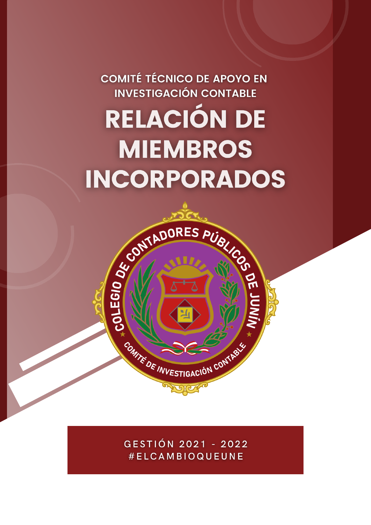**COMITÉ TÉCNICO DE APOYO EN INVESTIGACIÓN CONTABLE** RELACIÓN DE **MIEMBROS INCORPORADOS** 

> GESTIÓN 2021 - 2022 #ELCAMBIOQUEUNE

**CONTADORES PUBLIC ON TADORES PUBLIC OF THE DE TRUE SCRIPTION CONTABOLER SCRIPTION CONTABOLER SCRIPTION CONTABOLER SCRIPTION CONTABOLER SCRIPTION CONTABOLER SCRIPTION CONTABOLER SCRIPTION CONTABOLER SCRIPTION CONTABOLER SC**